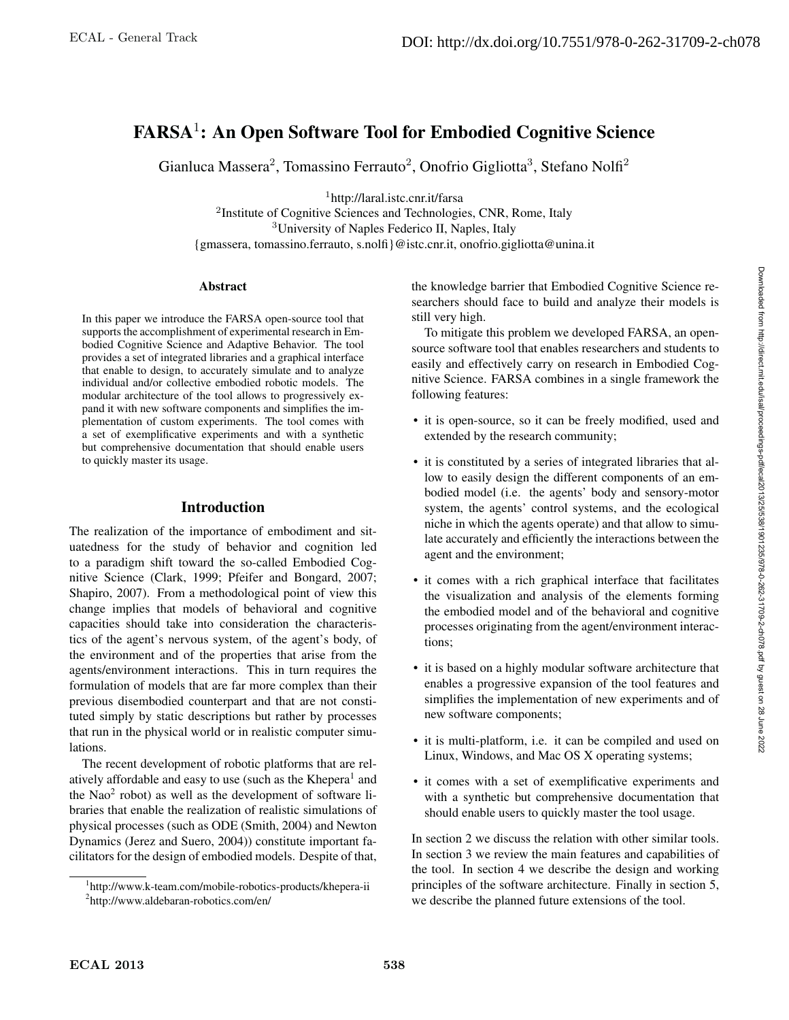# FARSA<sup>1</sup>: An Open Software Tool for Embodied Cognitive Science

Gianluca Massera<sup>2</sup>, Tomassino Ferrauto<sup>2</sup>, Onofrio Gigliotta<sup>3</sup>, Stefano Nolfi<sup>2</sup>

<sup>1</sup>http://laral.istc.cnr.it/farsa

<sup>2</sup>Institute of Cognitive Sciences and Technologies, CNR, Rome, Italy <sup>3</sup>University of Naples Federico II, Naples, Italy {gmassera, tomassino.ferrauto, s.nolfi}@istc.cnr.it, onofrio.gigliotta@unina.it

#### **Abstract**

In this paper we introduce the FARSA open-source tool that supports the accomplishment of experimental research in Embodied Cognitive Science and Adaptive Behavior. The tool provides a set of integrated libraries and a graphical interface that enable to design, to accurately simulate and to analyze individual and/or collective embodied robotic models. The modular architecture of the tool allows to progressively expand it with new software components and simplifies the implementation of custom experiments. The tool comes with a set of exemplificative experiments and with a synthetic but comprehensive documentation that should enable users to quickly master its usage.

## Introduction

The realization of the importance of embodiment and situatedness for the study of behavior and cognition led to a paradigm shift toward the so-called Embodied Cognitive Science (Clark, 1999; Pfeifer and Bongard, 2007; Shapiro, 2007). From a methodological point of view this change implies that models of behavioral and cognitive capacities should take into consideration the characteristics of the agent's nervous system, of the agent's body, of the environment and of the properties that arise from the agents/environment interactions. This in turn requires the formulation of models that are far more complex than their previous disembodied counterpart and that are not constituted simply by static descriptions but rather by processes that run in the physical world or in realistic computer simulations.

The recent development of robotic platforms that are relatively affordable and easy to use (such as the Khepera<sup>1</sup> and the Nao<sup>2</sup> robot) as well as the development of software libraries that enable the realization of realistic simulations of physical processes (such as ODE (Smith, 2004) and Newton Dynamics (Jerez and Suero, 2004)) constitute important facilitators for the design of embodied models. Despite of that,

the knowledge barrier that Embodied Cognitive Science researchers should face to build and analyze their models is still very high.

To mitigate this problem we developed FARSA, an opensource software tool that enables researchers and students to easily and effectively carry on research in Embodied Cognitive Science. FARSA combines in a single framework the following features:

- it is open-source, so it can be freely modified, used and extended by the research community;
- it is constituted by a series of integrated libraries that allow to easily design the different components of an embodied model (i.e. the agents' body and sensory-motor system, the agents' control systems, and the ecological niche in which the agents operate) and that allow to simulate accurately and efficiently the interactions between the agent and the environment;
- it comes with a rich graphical interface that facilitates the visualization and analysis of the elements forming the embodied model and of the behavioral and cognitive processes originating from the agent/environment interactions;
- it is based on a highly modular software architecture that enables a progressive expansion of the tool features and simplifies the implementation of new experiments and of new software components;
- it is multi-platform, i.e. it can be compiled and used on Linux, Windows, and Mac OS X operating systems;
- it comes with a set of exemplificative experiments and with a synthetic but comprehensive documentation that should enable users to quickly master the tool usage.

In section 2 we discuss the relation with other similar tools. In section 3 we review the main features and capabilities of the tool. In section 4 we describe the design and working principles of the software architecture. Finally in section 5, we describe the planned future extensions of the tool.

<sup>&</sup>lt;sup>1</sup>http://www.k-team.com/mobile-robotics-products/khepera-ii <sup>2</sup>http://www.aldebaran-robotics.com/en/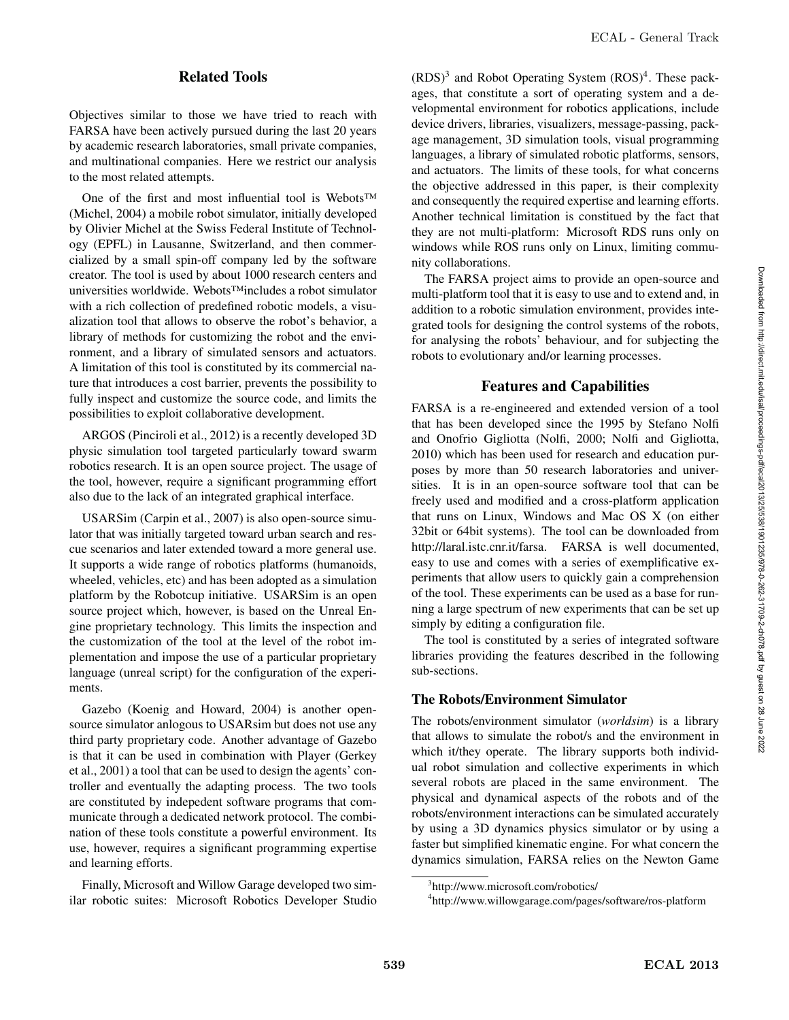# Related Tools

Objectives similar to those we have tried to reach with FARSA have been actively pursued during the last 20 years by academic research laboratories, small private companies, and multinational companies. Here we restrict our analysis to the most related attempts.

One of the first and most influential tool is Webots™ (Michel, 2004) a mobile robot simulator, initially developed by Olivier Michel at the Swiss Federal Institute of Technology (EPFL) in Lausanne, Switzerland, and then commercialized by a small spin-off company led by the software creator. The tool is used by about 1000 research centers and universities worldwide. Webots™includes a robot simulator with a rich collection of predefined robotic models, a visualization tool that allows to observe the robot's behavior, a library of methods for customizing the robot and the environment, and a library of simulated sensors and actuators. A limitation of this tool is constituted by its commercial nature that introduces a cost barrier, prevents the possibility to fully inspect and customize the source code, and limits the possibilities to exploit collaborative development.

ARGOS (Pinciroli et al., 2012) is a recently developed 3D physic simulation tool targeted particularly toward swarm robotics research. It is an open source project. The usage of the tool, however, require a significant programming effort also due to the lack of an integrated graphical interface.

USARSim (Carpin et al., 2007) is also open-source simulator that was initially targeted toward urban search and rescue scenarios and later extended toward a more general use. It supports a wide range of robotics platforms (humanoids, wheeled, vehicles, etc) and has been adopted as a simulation platform by the Robotcup initiative. USARSim is an open source project which, however, is based on the Unreal Engine proprietary technology. This limits the inspection and the customization of the tool at the level of the robot implementation and impose the use of a particular proprietary language (unreal script) for the configuration of the experiments.

Gazebo (Koenig and Howard, 2004) is another opensource simulator anlogous to USARsim but does not use any third party proprietary code. Another advantage of Gazebo is that it can be used in combination with Player (Gerkey et al., 2001) a tool that can be used to design the agents' controller and eventually the adapting process. The two tools are constituted by indepedent software programs that communicate through a dedicated network protocol. The combination of these tools constitute a powerful environment. Its use, however, requires a significant programming expertise and learning efforts.

Finally, Microsoft and Willow Garage developed two similar robotic suites: Microsoft Robotics Developer Studio

 $(RDS)^3$  and Robot Operating System  $(ROS)^4$ . These packages, that constitute a sort of operating system and a developmental environment for robotics applications, include device drivers, libraries, visualizers, message-passing, package management, 3D simulation tools, visual programming languages, a library of simulated robotic platforms, sensors, and actuators. The limits of these tools, for what concerns the objective addressed in this paper, is their complexity and consequently the required expertise and learning efforts. Another technical limitation is constitued by the fact that they are not multi-platform: Microsoft RDS runs only on windows while ROS runs only on Linux, limiting community collaborations.

The FARSA project aims to provide an open-source and multi-platform tool that it is easy to use and to extend and, in addition to a robotic simulation environment, provides integrated tools for designing the control systems of the robots, for analysing the robots' behaviour, and for subjecting the robots to evolutionary and/or learning processes.

# Features and Capabilities

FARSA is a re-engineered and extended version of a tool that has been developed since the 1995 by Stefano Nolfi and Onofrio Gigliotta (Nolfi, 2000; Nolfi and Gigliotta, 2010) which has been used for research and education purposes by more than 50 research laboratories and universities. It is in an open-source software tool that can be freely used and modified and a cross-platform application that runs on Linux, Windows and Mac OS X (on either 32bit or 64bit systems). The tool can be downloaded from http://laral.istc.cnr.it/farsa. FARSA is well documented, easy to use and comes with a series of exemplificative experiments that allow users to quickly gain a comprehension of the tool. These experiments can be used as a base for running a large spectrum of new experiments that can be set up simply by editing a configuration file.

The tool is constituted by a series of integrated software libraries providing the features described in the following sub-sections.

## The Robots/Environment Simulator

The robots/environment simulator (*worldsim*) is a library that allows to simulate the robot/s and the environment in which it/they operate. The library supports both individual robot simulation and collective experiments in which several robots are placed in the same environment. The physical and dynamical aspects of the robots and of the robots/environment interactions can be simulated accurately by using a 3D dynamics physics simulator or by using a faster but simplified kinematic engine. For what concern the dynamics simulation, FARSA relies on the Newton Game

<sup>3</sup> http://www.microsoft.com/robotics/

<sup>4</sup> http://www.willowgarage.com/pages/software/ros-platform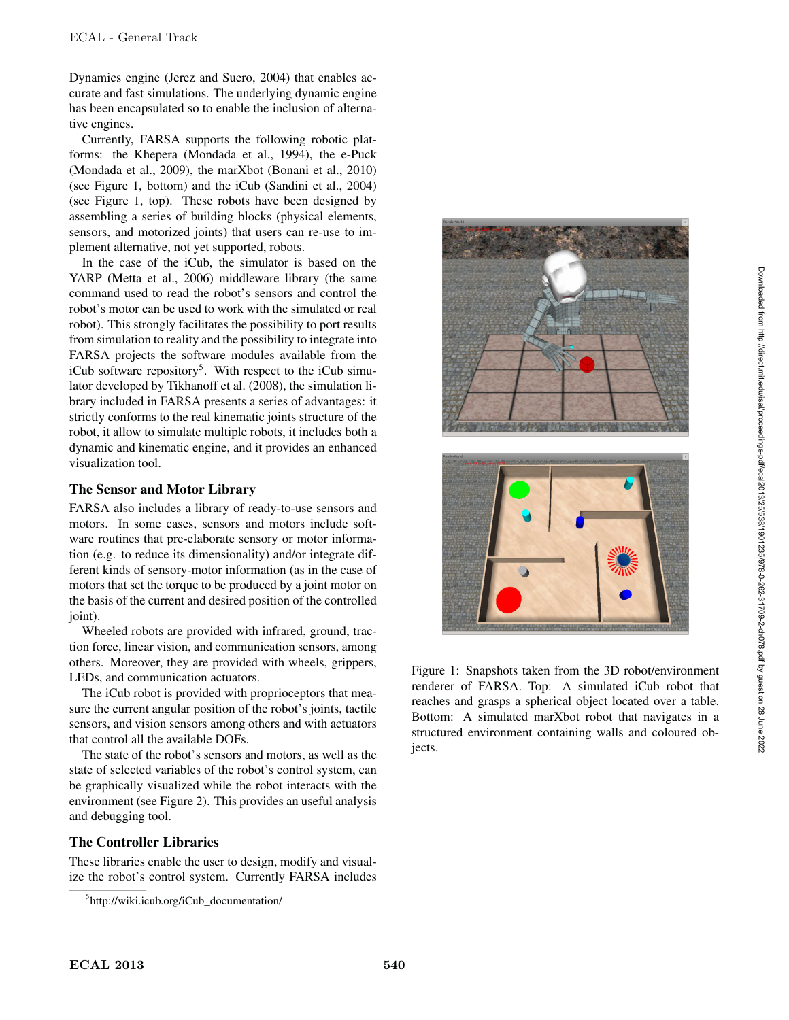Dynamics engine (Jerez and Suero, 2004) that enables accurate and fast simulations. The underlying dynamic engine has been encapsulated so to enable the inclusion of alternative engines.

Currently, FARSA supports the following robotic platforms: the Khepera (Mondada et al., 1994), the e-Puck (Mondada et al., 2009), the marXbot (Bonani et al., 2010) (see Figure 1, bottom) and the iCub (Sandini et al., 2004) (see Figure 1, top). These robots have been designed by assembling a series of building blocks (physical elements, sensors, and motorized joints) that users can re-use to implement alternative, not yet supported, robots.

In the case of the iCub, the simulator is based on the YARP (Metta et al., 2006) middleware library (the same command used to read the robot's sensors and control the robot's motor can be used to work with the simulated or real robot). This strongly facilitates the possibility to port results from simulation to reality and the possibility to integrate into FARSA projects the software modules available from the iCub software repository<sup>5</sup>. With respect to the iCub simulator developed by Tikhanoff et al. (2008), the simulation library included in FARSA presents a series of advantages: it strictly conforms to the real kinematic joints structure of the robot, it allow to simulate multiple robots, it includes both a dynamic and kinematic engine, and it provides an enhanced visualization tool.

## The Sensor and Motor Library

FARSA also includes a library of ready-to-use sensors and motors. In some cases, sensors and motors include software routines that pre-elaborate sensory or motor information (e.g. to reduce its dimensionality) and/or integrate different kinds of sensory-motor information (as in the case of motors that set the torque to be produced by a joint motor on the basis of the current and desired position of the controlled joint).

Wheeled robots are provided with infrared, ground, traction force, linear vision, and communication sensors, among others. Moreover, they are provided with wheels, grippers, LEDs, and communication actuators.

The iCub robot is provided with proprioceptors that measure the current angular position of the robot's joints, tactile sensors, and vision sensors among others and with actuators that control all the available DOFs.

The state of the robot's sensors and motors, as well as the state of selected variables of the robot's control system, can be graphically visualized while the robot interacts with the environment (see Figure 2). This provides an useful analysis and debugging tool.

## The Controller Libraries

These libraries enable the user to design, modify and visualize the robot's control system. Currently FARSA includes





Figure 1: Snapshots taken from the 3D robot/environment renderer of FARSA. Top: A simulated iCub robot that reaches and grasps a spherical object located over a table. Bottom: A simulated marXbot robot that navigates in a structured environment containing walls and coloured objects.

<sup>5</sup> http://wiki.icub.org/iCub\_documentation/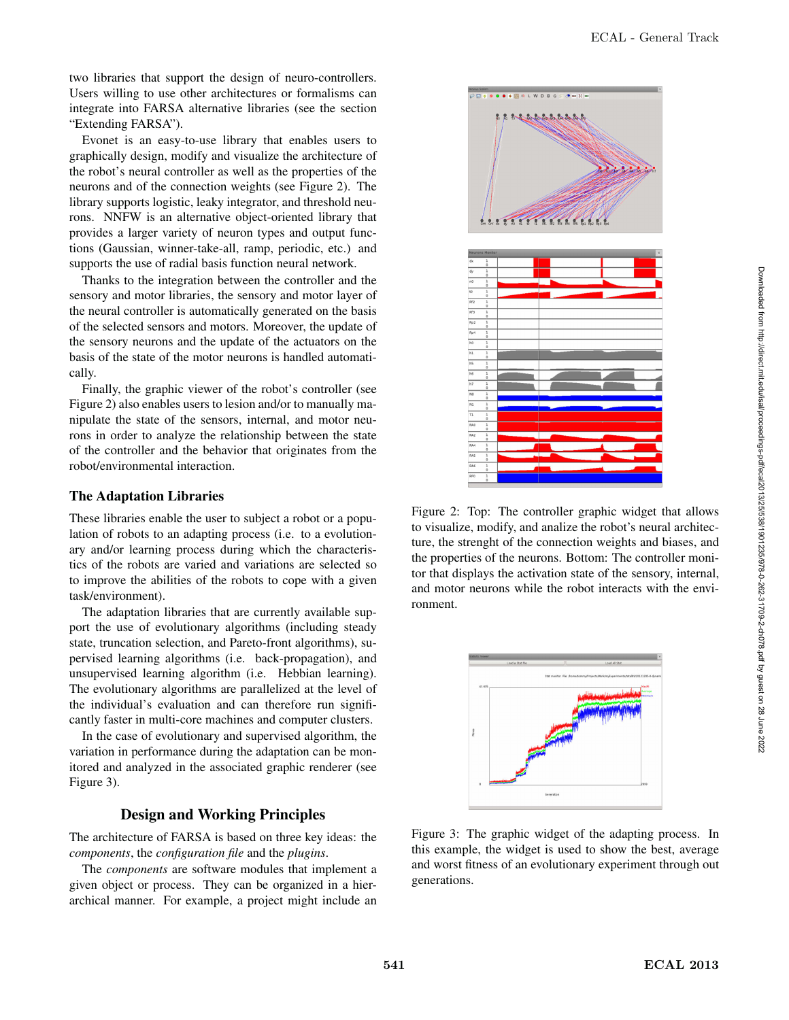two libraries that support the design of neuro-controllers. Users willing to use other architectures or formalisms can integrate into FARSA alternative libraries (see the section "Extending FARSA").

Evonet is an easy-to-use library that enables users to graphically design, modify and visualize the architecture of the robot's neural controller as well as the properties of the neurons and of the connection weights (see Figure 2). The library supports logistic, leaky integrator, and threshold neurons. NNFW is an alternative object-oriented library that provides a larger variety of neuron types and output functions (Gaussian, winner-take-all, ramp, periodic, etc.) and supports the use of radial basis function neural network.

Thanks to the integration between the controller and the sensory and motor libraries, the sensory and motor layer of the neural controller is automatically generated on the basis of the selected sensors and motors. Moreover, the update of the sensory neurons and the update of the actuators on the basis of the state of the motor neurons is handled automatically.

Finally, the graphic viewer of the robot's controller (see Figure 2) also enables users to lesion and/or to manually manipulate the state of the sensors, internal, and motor neurons in order to analyze the relationship between the state of the controller and the behavior that originates from the robot/environmental interaction.

## The Adaptation Libraries

These libraries enable the user to subject a robot or a population of robots to an adapting process (i.e. to a evolutionary and/or learning process during which the characteristics of the robots are varied and variations are selected so to improve the abilities of the robots to cope with a given task/environment).

The adaptation libraries that are currently available support the use of evolutionary algorithms (including steady state, truncation selection, and Pareto-front algorithms), supervised learning algorithms (i.e. back-propagation), and unsupervised learning algorithm (i.e. Hebbian learning). The evolutionary algorithms are parallelized at the level of the individual's evaluation and can therefore run significantly faster in multi-core machines and computer clusters.

In the case of evolutionary and supervised algorithm, the variation in performance during the adaptation can be monitored and analyzed in the associated graphic renderer (see Figure 3).

## Design and Working Principles

The architecture of FARSA is based on three key ideas: the *components*, the *configuration file* and the *plugins*.

The *components* are software modules that implement a given object or process. They can be organized in a hierarchical manner. For example, a project might include an



Figure 2: Top: The controller graphic widget that allows to visualize, modify, and analize the robot's neural architecture, the strenght of the connection weights and biases, and the properties of the neurons. Bottom: The controller monitor that displays the activation state of the sensory, internal, and motor neurons while the robot interacts with the environment.



Figure 3: The graphic widget of the adapting process. In this example, the widget is used to show the best, average and worst fitness of an evolutionary experiment through out generations.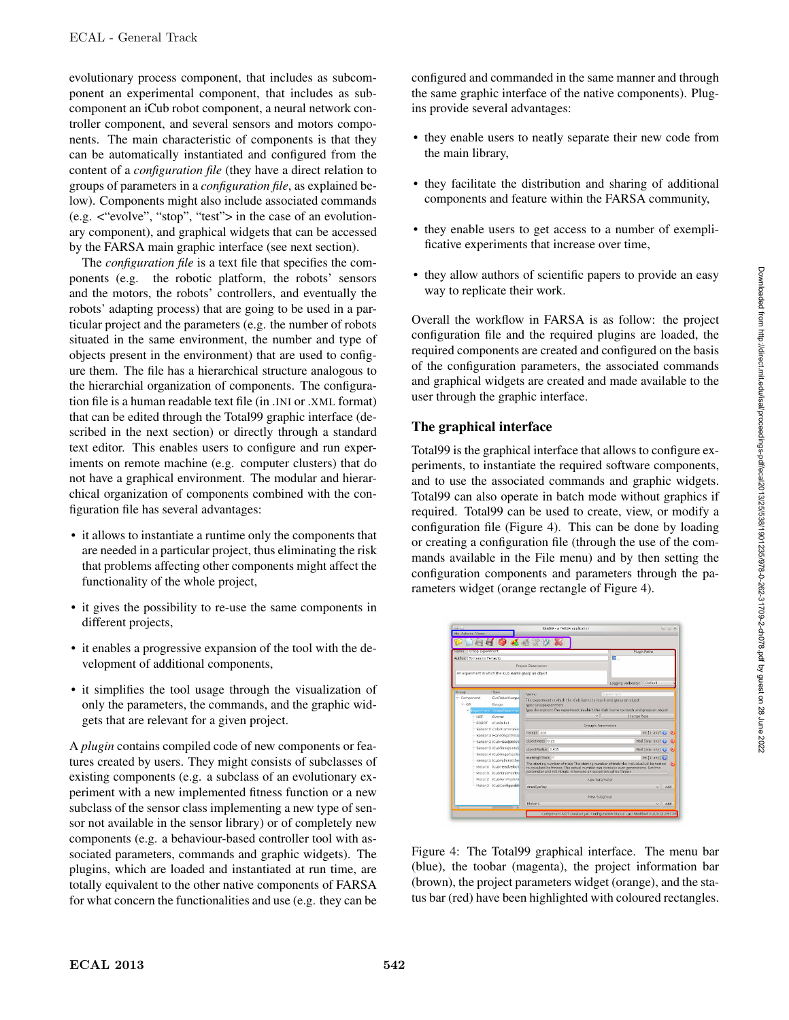evolutionary process component, that includes as subcomponent an experimental component, that includes as subcomponent an iCub robot component, a neural network controller component, and several sensors and motors components. The main characteristic of components is that they can be automatically instantiated and configured from the content of a *configuration file* (they have a direct relation to groups of parameters in a *configuration file*, as explained below). Components might also include associated commands (e.g. <"evolve", "stop", "test"> in the case of an evolutionary component), and graphical widgets that can be accessed by the FARSA main graphic interface (see next section).

The *configuration file* is a text file that specifies the components (e.g. the robotic platform, the robots' sensors and the motors, the robots' controllers, and eventually the robots' adapting process) that are going to be used in a particular project and the parameters (e.g. the number of robots situated in the same environment, the number and type of objects present in the environment) that are used to configure them. The file has a hierarchical structure analogous to the hierarchial organization of components. The configuration file is a human readable text file (in .INI or .XML format) that can be edited through the Total99 graphic interface (described in the next section) or directly through a standard text editor. This enables users to configure and run experiments on remote machine (e.g. computer clusters) that do not have a graphical environment. The modular and hierarchical organization of components combined with the configuration file has several advantages:

- it allows to instantiate a runtime only the components that are needed in a particular project, thus eliminating the risk that problems affecting other components might affect the functionality of the whole project,
- it gives the possibility to re-use the same components in different projects,
- it enables a progressive expansion of the tool with the development of additional components,
- it simplifies the tool usage through the visualization of only the parameters, the commands, and the graphic widgets that are relevant for a given project.

A *plugin* contains compiled code of new components or features created by users. They might consists of subclasses of existing components (e.g. a subclass of an evolutionary experiment with a new implemented fitness function or a new subclass of the sensor class implementing a new type of sensor not available in the sensor library) or of completely new components (e.g. a behaviour-based controller tool with associated parameters, commands and graphic widgets). The plugins, which are loaded and instantiated at run time, are totally equivalent to the other native components of FARSA for what concern the functionalities and use (e.g. they can be

configured and commanded in the same manner and through the same graphic interface of the native components). Plugins provide several advantages:

- they enable users to neatly separate their new code from the main library,
- they facilitate the distribution and sharing of additional components and feature within the FARSA community,
- they enable users to get access to a number of exemplificative experiments that increase over time,
- they allow authors of scientific papers to provide an easy way to replicate their work.

Overall the workflow in FARSA is as follow: the project configuration file and the required plugins are loaded, the required components are created and configured on the basis of the configuration parameters, the associated commands and graphical widgets are created and made available to the user through the graphic interface.

## The graphical interface

Total99 is the graphical interface that allows to configure experiments, to instantiate the required software components, and to use the associated commands and graphic widgets. Total99 can also operate in batch mode without graphics if required. Total99 can be used to create, view, or modify a configuration file (Figure 4). This can be done by loading or creating a configuration file (through the use of the commands available in the File menu) and by then setting the configuration components and parameters through the parameters widget (orange rectangle of Figure 4).



Figure 4: The Total99 graphical interface. The menu bar (blue), the toobar (magenta), the project information bar (brown), the project parameters widget (orange), and the status bar (red) have been highlighted with coloured rectangles.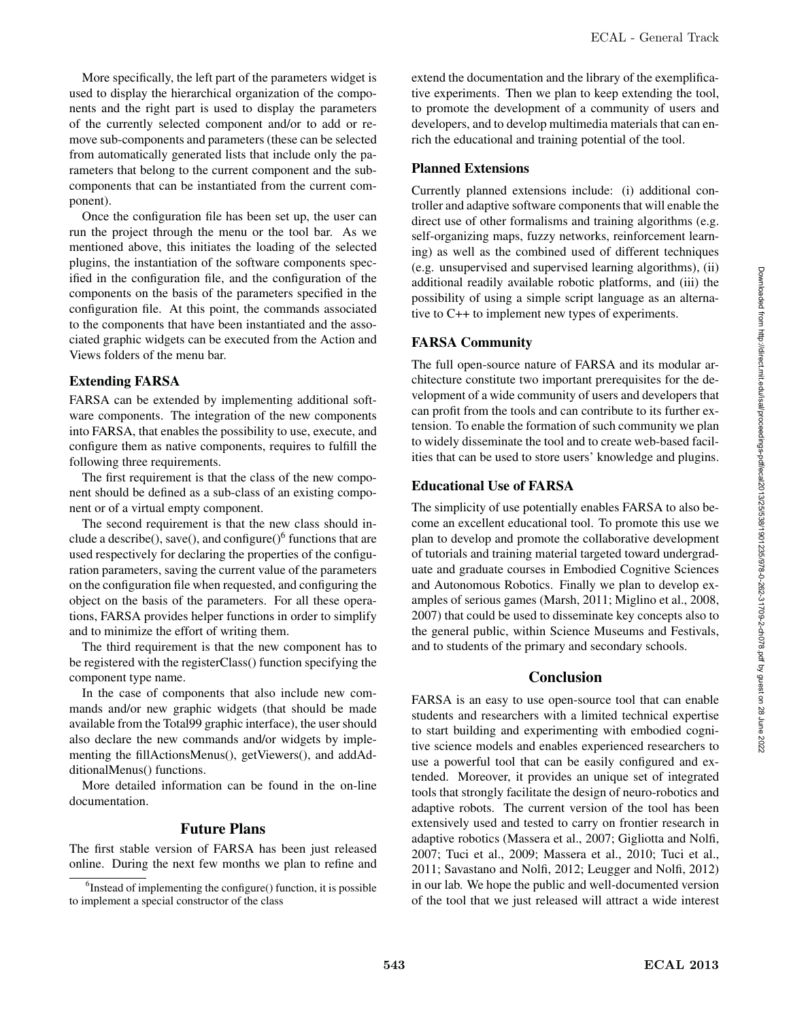More specifically, the left part of the parameters widget is used to display the hierarchical organization of the components and the right part is used to display the parameters of the currently selected component and/or to add or remove sub-components and parameters (these can be selected from automatically generated lists that include only the parameters that belong to the current component and the subcomponents that can be instantiated from the current component).

Once the configuration file has been set up, the user can run the project through the menu or the tool bar. As we mentioned above, this initiates the loading of the selected plugins, the instantiation of the software components specified in the configuration file, and the configuration of the components on the basis of the parameters specified in the configuration file. At this point, the commands associated to the components that have been instantiated and the associated graphic widgets can be executed from the Action and Views folders of the menu bar.

#### Extending FARSA

FARSA can be extended by implementing additional software components. The integration of the new components into FARSA, that enables the possibility to use, execute, and configure them as native components, requires to fulfill the following three requirements.

The first requirement is that the class of the new component should be defined as a sub-class of an existing component or of a virtual empty component.

The second requirement is that the new class should include a describe(), save(), and configure( $\frac{6}{10}$  functions that are used respectively for declaring the properties of the configuration parameters, saving the current value of the parameters on the configuration file when requested, and configuring the object on the basis of the parameters. For all these operations, FARSA provides helper functions in order to simplify and to minimize the effort of writing them.

The third requirement is that the new component has to be registered with the registerClass() function specifying the component type name.

In the case of components that also include new commands and/or new graphic widgets (that should be made available from the Total99 graphic interface), the user should also declare the new commands and/or widgets by implementing the fillActionsMenus(), getViewers(), and addAdditionalMenus() functions.

More detailed information can be found in the on-line documentation.

### Future Plans

The first stable version of FARSA has been just released online. During the next few months we plan to refine and extend the documentation and the library of the exemplificative experiments. Then we plan to keep extending the tool, to promote the development of a community of users and developers, and to develop multimedia materials that can enrich the educational and training potential of the tool.

#### Planned Extensions

Currently planned extensions include: (i) additional controller and adaptive software components that will enable the direct use of other formalisms and training algorithms (e.g. self-organizing maps, fuzzy networks, reinforcement learning) as well as the combined used of different techniques (e.g. unsupervised and supervised learning algorithms), (ii) additional readily available robotic platforms, and (iii) the possibility of using a simple script language as an alternative to C++ to implement new types of experiments.

#### FARSA Community

The full open-source nature of FARSA and its modular architecture constitute two important prerequisites for the development of a wide community of users and developers that can profit from the tools and can contribute to its further extension. To enable the formation of such community we plan to widely disseminate the tool and to create web-based facilities that can be used to store users' knowledge and plugins.

## Educational Use of FARSA

The simplicity of use potentially enables FARSA to also become an excellent educational tool. To promote this use we plan to develop and promote the collaborative development of tutorials and training material targeted toward undergraduate and graduate courses in Embodied Cognitive Sciences and Autonomous Robotics. Finally we plan to develop examples of serious games (Marsh, 2011; Miglino et al., 2008, 2007) that could be used to disseminate key concepts also to the general public, within Science Museums and Festivals, and to students of the primary and secondary schools.

#### Conclusion

FARSA is an easy to use open-source tool that can enable students and researchers with a limited technical expertise to start building and experimenting with embodied cognitive science models and enables experienced researchers to use a powerful tool that can be easily configured and extended. Moreover, it provides an unique set of integrated tools that strongly facilitate the design of neuro-robotics and adaptive robots. The current version of the tool has been extensively used and tested to carry on frontier research in adaptive robotics (Massera et al., 2007; Gigliotta and Nolfi, 2007; Tuci et al., 2009; Massera et al., 2010; Tuci et al., 2011; Savastano and Nolfi, 2012; Leugger and Nolfi, 2012) in our lab. We hope the public and well-documented version of the tool that we just released will attract a wide interest

<sup>&</sup>lt;sup>6</sup>Instead of implementing the configure() function, it is possible to implement a special constructor of the class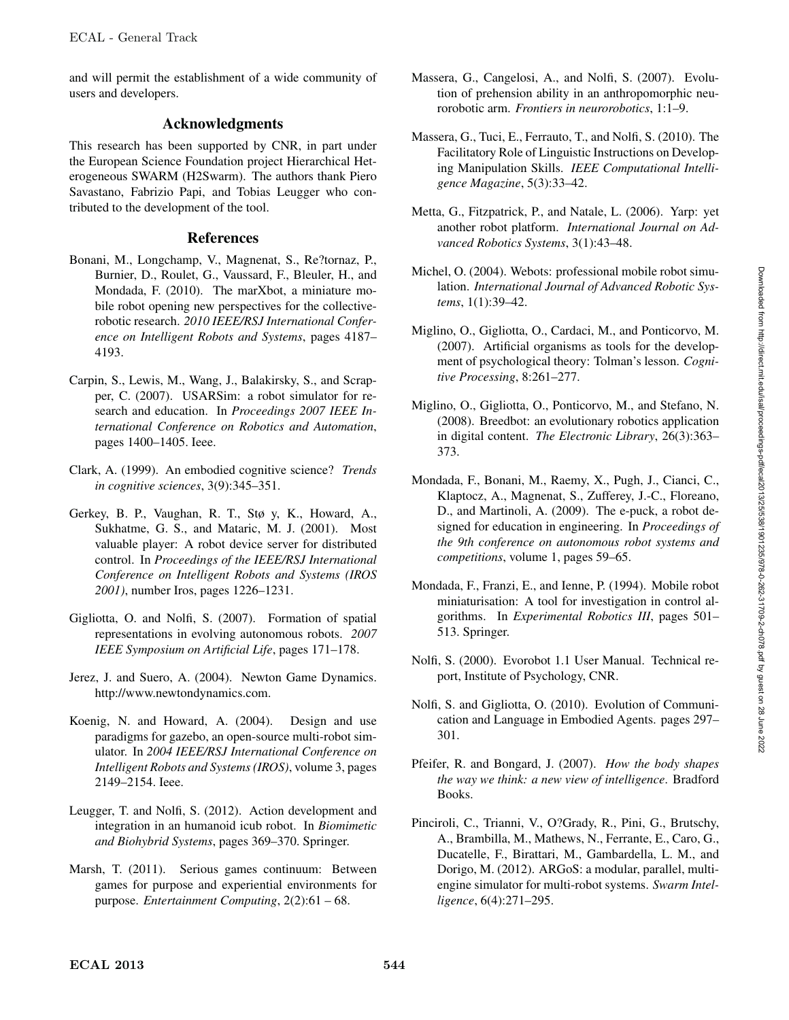and will permit the establishment of a wide community of users and developers.

# Acknowledgments

This research has been supported by CNR, in part under the European Science Foundation project Hierarchical Heterogeneous SWARM (H2Swarm). The authors thank Piero Savastano, Fabrizio Papi, and Tobias Leugger who contributed to the development of the tool.

# References

- Bonani, M., Longchamp, V., Magnenat, S., Re?tornaz, P., Burnier, D., Roulet, G., Vaussard, F., Bleuler, H., and Mondada, F. (2010). The marXbot, a miniature mobile robot opening new perspectives for the collectiverobotic research. *2010 IEEE/RSJ International Conference on Intelligent Robots and Systems*, pages 4187– 4193.
- Carpin, S., Lewis, M., Wang, J., Balakirsky, S., and Scrapper, C. (2007). USARSim: a robot simulator for research and education. In *Proceedings 2007 IEEE International Conference on Robotics and Automation*, pages 1400–1405. Ieee.
- Clark, A. (1999). An embodied cognitive science? *Trends in cognitive sciences*, 3(9):345–351.
- Gerkey, B. P., Vaughan, R. T., Stø y, K., Howard, A., Sukhatme, G. S., and Mataric, M. J. (2001). Most valuable player: A robot device server for distributed control. In *Proceedings of the IEEE/RSJ International Conference on Intelligent Robots and Systems (IROS 2001)*, number Iros, pages 1226–1231.
- Gigliotta, O. and Nolfi, S. (2007). Formation of spatial representations in evolving autonomous robots. *2007 IEEE Symposium on Artificial Life*, pages 171–178.
- Jerez, J. and Suero, A. (2004). Newton Game Dynamics. http://www.newtondynamics.com.
- Koenig, N. and Howard, A. (2004). Design and use paradigms for gazebo, an open-source multi-robot simulator. In *2004 IEEE/RSJ International Conference on Intelligent Robots and Systems (IROS)*, volume 3, pages 2149–2154. Ieee.
- Leugger, T. and Nolfi, S. (2012). Action development and integration in an humanoid icub robot. In *Biomimetic and Biohybrid Systems*, pages 369–370. Springer.
- Marsh, T. (2011). Serious games continuum: Between games for purpose and experiential environments for purpose. *Entertainment Computing*, 2(2):61 – 68.
- Massera, G., Cangelosi, A., and Nolfi, S. (2007). Evolution of prehension ability in an anthropomorphic neurorobotic arm. *Frontiers in neurorobotics*, 1:1–9.
- Massera, G., Tuci, E., Ferrauto, T., and Nolfi, S. (2010). The Facilitatory Role of Linguistic Instructions on Developing Manipulation Skills. *IEEE Computational Intelligence Magazine*, 5(3):33–42.
- Metta, G., Fitzpatrick, P., and Natale, L. (2006). Yarp: yet another robot platform. *International Journal on Advanced Robotics Systems*, 3(1):43–48.
- Michel, O. (2004). Webots: professional mobile robot simulation. *International Journal of Advanced Robotic Systems*, 1(1):39–42.
- Miglino, O., Gigliotta, O., Cardaci, M., and Ponticorvo, M. (2007). Artificial organisms as tools for the development of psychological theory: Tolman's lesson. *Cognitive Processing*, 8:261–277.
- Miglino, O., Gigliotta, O., Ponticorvo, M., and Stefano, N. (2008). Breedbot: an evolutionary robotics application in digital content. *The Electronic Library*, 26(3):363– 373.
- Mondada, F., Bonani, M., Raemy, X., Pugh, J., Cianci, C., Klaptocz, A., Magnenat, S., Zufferey, J.-C., Floreano, D., and Martinoli, A. (2009). The e-puck, a robot designed for education in engineering. In *Proceedings of the 9th conference on autonomous robot systems and competitions*, volume 1, pages 59–65.
- Mondada, F., Franzi, E., and Ienne, P. (1994). Mobile robot miniaturisation: A tool for investigation in control algorithms. In *Experimental Robotics III*, pages 501– 513. Springer.
- Nolfi, S. (2000). Evorobot 1.1 User Manual. Technical report, Institute of Psychology, CNR.
- Nolfi, S. and Gigliotta, O. (2010). Evolution of Communication and Language in Embodied Agents. pages 297– 301.
- Pfeifer, R. and Bongard, J. (2007). *How the body shapes the way we think: a new view of intelligence*. Bradford Books.
- Pinciroli, C., Trianni, V., O?Grady, R., Pini, G., Brutschy, A., Brambilla, M., Mathews, N., Ferrante, E., Caro, G., Ducatelle, F., Birattari, M., Gambardella, L. M., and Dorigo, M. (2012). ARGoS: a modular, parallel, multiengine simulator for multi-robot systems. *Swarm Intelligence*, 6(4):271–295.